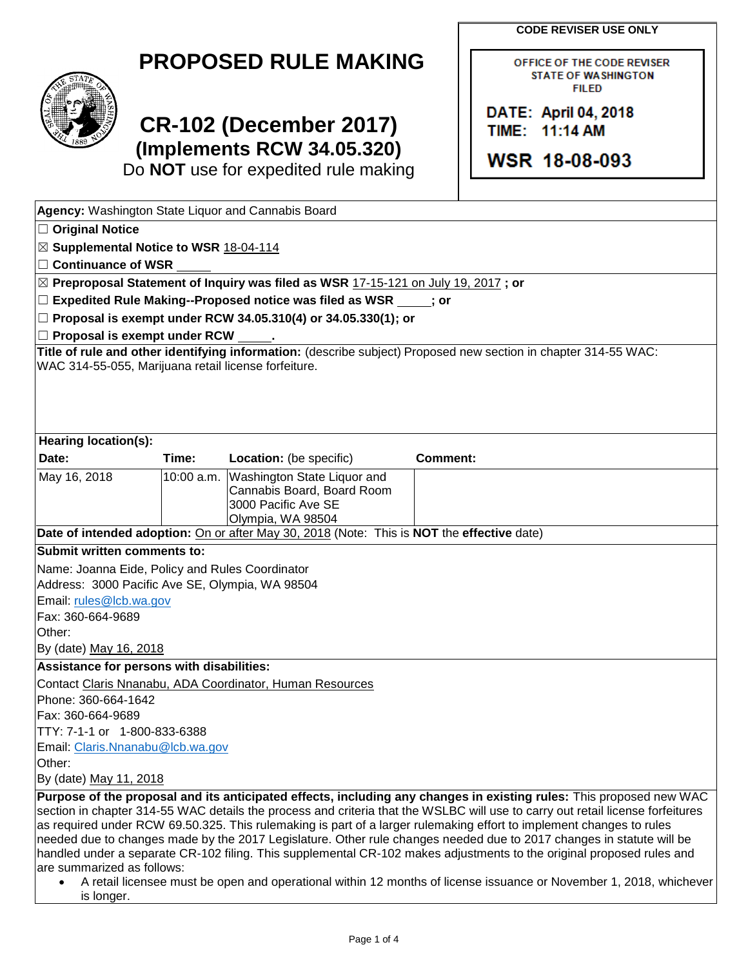**CODE REVISER USE ONLY**

OFFICE OF THE CODE REVISER **STATE OF WASHINGTON FILED** 

DATE: April 04, 2018 TIME: 11:14 AM

WSR 18-08-093

| <b>PROPOSED RULE MAKING</b> |  |  |
|-----------------------------|--|--|
|-----------------------------|--|--|



## **CR-102 (December 2017) (Implements RCW 34.05.320)**

Do **NOT** use for expedited rule making

| Agency: Washington State Liquor and Cannabis Board                                                                                                                                                                    |       |                                                                                                                  |                                                                                                                                                                                                                                                                                                                                                                                                                                                                                                                                                                                                                               |
|-----------------------------------------------------------------------------------------------------------------------------------------------------------------------------------------------------------------------|-------|------------------------------------------------------------------------------------------------------------------|-------------------------------------------------------------------------------------------------------------------------------------------------------------------------------------------------------------------------------------------------------------------------------------------------------------------------------------------------------------------------------------------------------------------------------------------------------------------------------------------------------------------------------------------------------------------------------------------------------------------------------|
| $\Box$ Original Notice                                                                                                                                                                                                |       |                                                                                                                  |                                                                                                                                                                                                                                                                                                                                                                                                                                                                                                                                                                                                                               |
| ⊠ Supplemental Notice to WSR 18-04-114                                                                                                                                                                                |       |                                                                                                                  |                                                                                                                                                                                                                                                                                                                                                                                                                                                                                                                                                                                                                               |
| $\Box$ Continuance of WSR                                                                                                                                                                                             |       |                                                                                                                  |                                                                                                                                                                                                                                                                                                                                                                                                                                                                                                                                                                                                                               |
|                                                                                                                                                                                                                       |       | $\boxtimes$ Preproposal Statement of Inquiry was filed as WSR 17-15-121 on July 19, 2017 ; or                    |                                                                                                                                                                                                                                                                                                                                                                                                                                                                                                                                                                                                                               |
|                                                                                                                                                                                                                       |       | $\Box$ Expedited Rule Making--Proposed notice was filed as WSR $\Box$ ; or                                       |                                                                                                                                                                                                                                                                                                                                                                                                                                                                                                                                                                                                                               |
|                                                                                                                                                                                                                       |       | $□$ Proposal is exempt under RCW 34.05.310(4) or 34.05.330(1); or                                                |                                                                                                                                                                                                                                                                                                                                                                                                                                                                                                                                                                                                                               |
| $\Box$ Proposal is exempt under RCW                                                                                                                                                                                   |       |                                                                                                                  |                                                                                                                                                                                                                                                                                                                                                                                                                                                                                                                                                                                                                               |
| WAC 314-55-055, Marijuana retail license forfeiture.                                                                                                                                                                  |       |                                                                                                                  | Title of rule and other identifying information: (describe subject) Proposed new section in chapter 314-55 WAC:                                                                                                                                                                                                                                                                                                                                                                                                                                                                                                               |
| Hearing location(s):                                                                                                                                                                                                  |       |                                                                                                                  |                                                                                                                                                                                                                                                                                                                                                                                                                                                                                                                                                                                                                               |
| Date:                                                                                                                                                                                                                 | Time: | Location: (be specific)                                                                                          | <b>Comment:</b>                                                                                                                                                                                                                                                                                                                                                                                                                                                                                                                                                                                                               |
| May 16, 2018                                                                                                                                                                                                          |       | 10:00 a.m. Washington State Liquor and<br>Cannabis Board, Board Room<br>3000 Pacific Ave SE<br>Olympia, WA 98504 |                                                                                                                                                                                                                                                                                                                                                                                                                                                                                                                                                                                                                               |
|                                                                                                                                                                                                                       |       | Date of intended adoption: On or after May 30, 2018 (Note: This is NOT the effective date)                       |                                                                                                                                                                                                                                                                                                                                                                                                                                                                                                                                                                                                                               |
| Submit written comments to:<br>Name: Joanna Eide, Policy and Rules Coordinator<br>Address: 3000 Pacific Ave SE, Olympia, WA 98504<br>Email: rules@lcb.wa.gov<br>Fax: 360-664-9689<br>Other:<br>By (date) May 16, 2018 |       |                                                                                                                  |                                                                                                                                                                                                                                                                                                                                                                                                                                                                                                                                                                                                                               |
| Assistance for persons with disabilities:                                                                                                                                                                             |       |                                                                                                                  |                                                                                                                                                                                                                                                                                                                                                                                                                                                                                                                                                                                                                               |
| Phone: 360-664-1642<br>Fax: 360-664-9689<br>TTY: 7-1-1 or 1-800-833-6388<br>Email: Claris.Nnanabu@lcb.wa.gov<br>Other:<br>By (date) May 11, 2018                                                                      |       | Contact Claris Nnanabu, ADA Coordinator, Human Resources                                                         |                                                                                                                                                                                                                                                                                                                                                                                                                                                                                                                                                                                                                               |
|                                                                                                                                                                                                                       |       |                                                                                                                  | Purpose of the proposal and its anticipated effects, including any changes in existing rules: This proposed new WAC                                                                                                                                                                                                                                                                                                                                                                                                                                                                                                           |
| are summarized as follows:<br>$\bullet$                                                                                                                                                                               |       |                                                                                                                  | section in chapter 314-55 WAC details the process and criteria that the WSLBC will use to carry out retail license forfeitures<br>as required under RCW 69.50.325. This rulemaking is part of a larger rulemaking effort to implement changes to rules<br>needed due to changes made by the 2017 Legislature. Other rule changes needed due to 2017 changes in statute will be<br>handled under a separate CR-102 filing. This supplemental CR-102 makes adjustments to the original proposed rules and<br>A retail licensee must be open and operational within 12 months of license issuance or November 1, 2018, whichever |

is longer.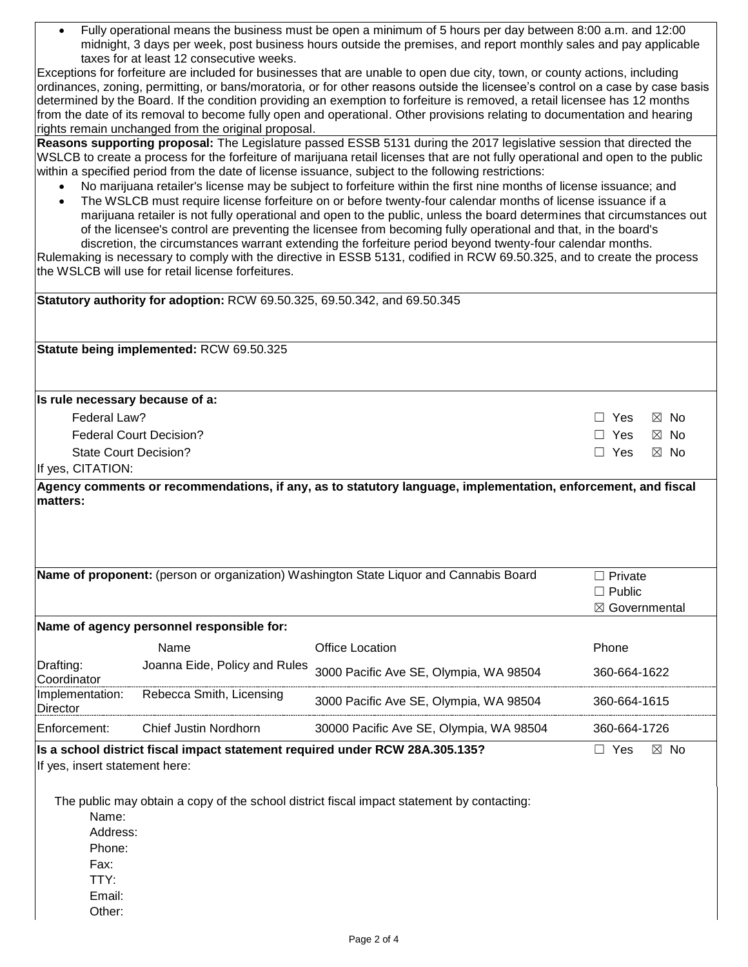Fully operational means the business must be open a minimum of 5 hours per day between 8:00 a.m. and 12:00 midnight, 3 days per week, post business hours outside the premises, and report monthly sales and pay applicable taxes for at least 12 consecutive weeks.

Exceptions for forfeiture are included for businesses that are unable to open due city, town, or county actions, including ordinances, zoning, permitting, or bans/moratoria, or for other reasons outside the licensee's control on a case by case basis determined by the Board. If the condition providing an exemption to forfeiture is removed, a retail licensee has 12 months from the date of its removal to become fully open and operational. Other provisions relating to documentation and hearing rights remain unchanged from the original proposal.

**Reasons supporting proposal:** The Legislature passed ESSB 5131 during the 2017 legislative session that directed the WSLCB to create a process for the forfeiture of marijuana retail licenses that are not fully operational and open to the public within a specified period from the date of license issuance, subject to the following restrictions:

- No marijuana retailer's license may be subject to forfeiture within the first nine months of license issuance; and
- The WSLCB must require license forfeiture on or before twenty-four calendar months of license issuance if a marijuana retailer is not fully operational and open to the public, unless the board determines that circumstances out of the licensee's control are preventing the licensee from becoming fully operational and that, in the board's discretion, the circumstances warrant extending the forfeiture period beyond twenty-four calendar months.

Rulemaking is necessary to comply with the directive in ESSB 5131, codified in RCW 69.50.325, and to create the process the WSLCB will use for retail license forfeitures.

| Statutory authority for adoption: RCW 69.50.325, 69.50.342, and 69.50.345                         |                                           |                                                                                                                                                                            |                                                   |
|---------------------------------------------------------------------------------------------------|-------------------------------------------|----------------------------------------------------------------------------------------------------------------------------------------------------------------------------|---------------------------------------------------|
|                                                                                                   | Statute being implemented: RCW 69.50.325  |                                                                                                                                                                            |                                                   |
| Is rule necessary because of a:                                                                   |                                           |                                                                                                                                                                            |                                                   |
| Federal Law?                                                                                      |                                           |                                                                                                                                                                            | $\Box$ Yes<br>$\boxtimes$ No                      |
|                                                                                                   | <b>Federal Court Decision?</b>            |                                                                                                                                                                            | Yes<br>$\boxtimes$ No                             |
| <b>State Court Decision?</b>                                                                      |                                           |                                                                                                                                                                            | $\Box$ Yes<br>$\boxtimes$ No                      |
| If yes, CITATION:                                                                                 |                                           |                                                                                                                                                                            |                                                   |
| matters:                                                                                          |                                           | Agency comments or recommendations, if any, as to statutory language, implementation, enforcement, and fiscal                                                              |                                                   |
|                                                                                                   |                                           | Name of proponent: (person or organization) Washington State Liquor and Cannabis Board                                                                                     | $\Box$ Private<br>$\Box$ Public<br>⊠ Governmental |
|                                                                                                   | Name of agency personnel responsible for: |                                                                                                                                                                            |                                                   |
|                                                                                                   | Name                                      | <b>Office Location</b>                                                                                                                                                     | Phone                                             |
| Drafting:<br>Coordinator                                                                          | Joanna Eide, Policy and Rules             | 3000 Pacific Ave SE, Olympia, WA 98504                                                                                                                                     | 360-664-1622                                      |
| Implementation:<br>Director                                                                       | Rebecca Smith, Licensing                  | 3000 Pacific Ave SE, Olympia, WA 98504                                                                                                                                     | 360-664-1615                                      |
| Enforcement:                                                                                      | Chief Justin Nordhorn                     | 30000 Pacific Ave SE, Olympia, WA 98504                                                                                                                                    | 360-664-1726                                      |
| If yes, insert statement here:<br>Name:<br>Address:<br>Phone:<br>Fax:<br>TTY:<br>Email:<br>Other: |                                           | Is a school district fiscal impact statement required under RCW 28A.305.135?<br>The public may obtain a copy of the school district fiscal impact statement by contacting: | $\Box$ Yes<br>$\boxtimes$ No                      |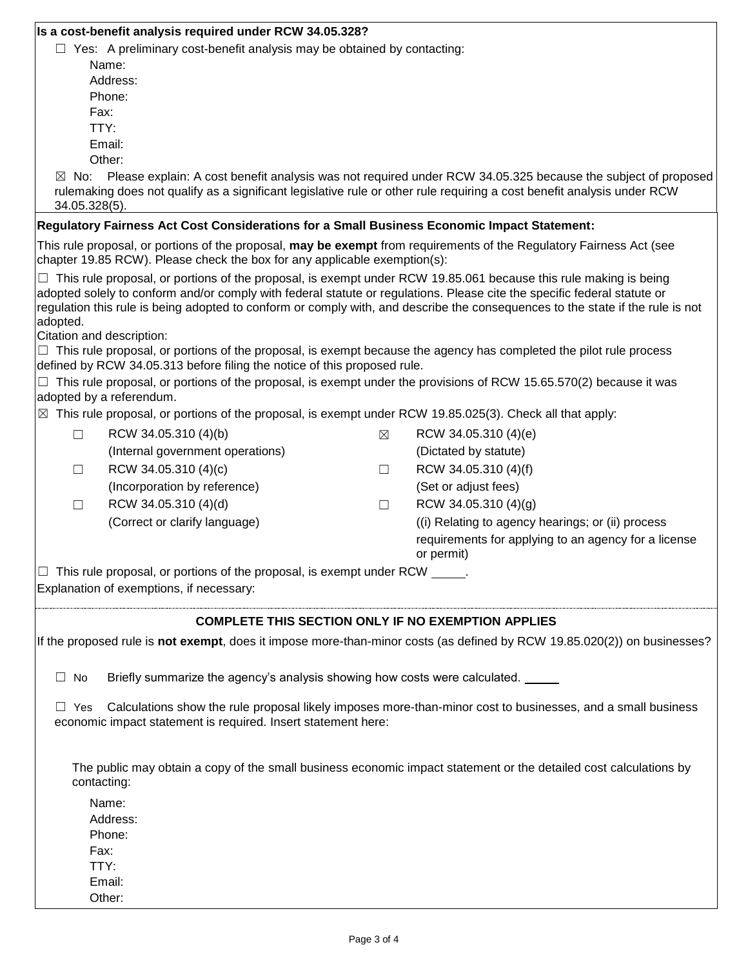| Is a cost-benefit analysis required under RCW 34.05.328? |  |  |  |
|----------------------------------------------------------|--|--|--|
|----------------------------------------------------------|--|--|--|

 $\Box$  Yes: A preliminary cost-benefit analysis may be obtained by contacting:

- Name: Address: Phone: Fax: TTY: Email:
- Other:

 $\boxtimes$  No: Please explain: A cost benefit analysis was not required under RCW 34.05.325 because the subject of proposed rulemaking does not qualify as a significant legislative rule or other rule requiring a cost benefit analysis under RCW 34.05.328(5).

## **Regulatory Fairness Act Cost Considerations for a Small Business Economic Impact Statement:**

This rule proposal, or portions of the proposal, **may be exempt** from requirements of the Regulatory Fairness Act (see chapter 19.85 RCW). Please check the box for any applicable exemption(s):

 $\Box$  This rule proposal, or portions of the proposal, is exempt under RCW 19.85.061 because this rule making is being adopted solely to conform and/or comply with federal statute or regulations. Please cite the specific federal statute or regulation this rule is being adopted to conform or comply with, and describe the consequences to the state if the rule is not adopted.

Citation and description:

 $\Box$  This rule proposal, or portions of the proposal, is exempt because the agency has completed the pilot rule process defined by RCW 34.05.313 before filing the notice of this proposed rule.

 $\Box$  This rule proposal, or portions of the proposal, is exempt under the provisions of RCW 15.65.570(2) because it was adopted by a referendum.

 $\boxtimes$  This rule proposal, or portions of the proposal, is exempt under RCW 19.85.025(3). Check all that apply:

| RCW 34.05.310 (4)(b)             | $\boxtimes$ | RCW 34.05.310 (4)(e)                                 |
|----------------------------------|-------------|------------------------------------------------------|
| (Internal government operations) |             | (Dictated by statute)                                |
| RCW 34.05.310 (4)(c)             |             | RCW 34.05.310 (4)(f)                                 |
| (Incorporation by reference)     |             | (Set or adjust fees)                                 |
| RCW 34.05.310 (4)(d)             |             | RCW 34.05.310 (4)(g)                                 |
| (Correct or clarify language)    |             | ((i) Relating to agency hearings; or (ii) process    |
|                                  |             | requirements for applying to an agency for a license |
|                                  |             | or permit)                                           |

 $\Box$  This rule proposal, or portions of the proposal, is exempt under RCW  $\Box$ 

Explanation of exemptions, if necessary:

## **COMPLETE THIS SECTION ONLY IF NO EXEMPTION APPLIES**

If the proposed rule is **not exempt**, does it impose more-than-minor costs (as defined by RCW 19.85.020(2)) on businesses?

 $\Box$  No Briefly summarize the agency's analysis showing how costs were calculated.

 $\Box$  Yes Calculations show the rule proposal likely imposes more-than-minor cost to businesses, and a small business economic impact statement is required. Insert statement here:

The public may obtain a copy of the small business economic impact statement or the detailed cost calculations by contacting:

Name: Address: Phone: Fax: TTY: Email: Other: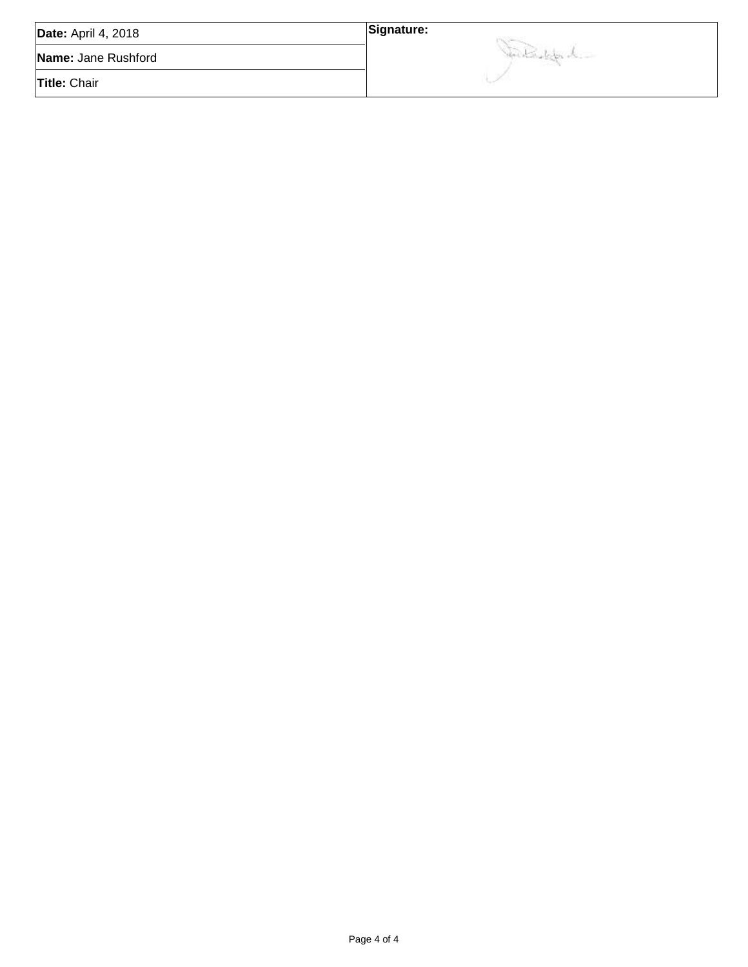| <b>Date: April 4, 2018</b> | Signature:              |
|----------------------------|-------------------------|
| Name: Jane Rushford        | Montan Laboration Labor |
| <b>Title: Chair</b>        |                         |